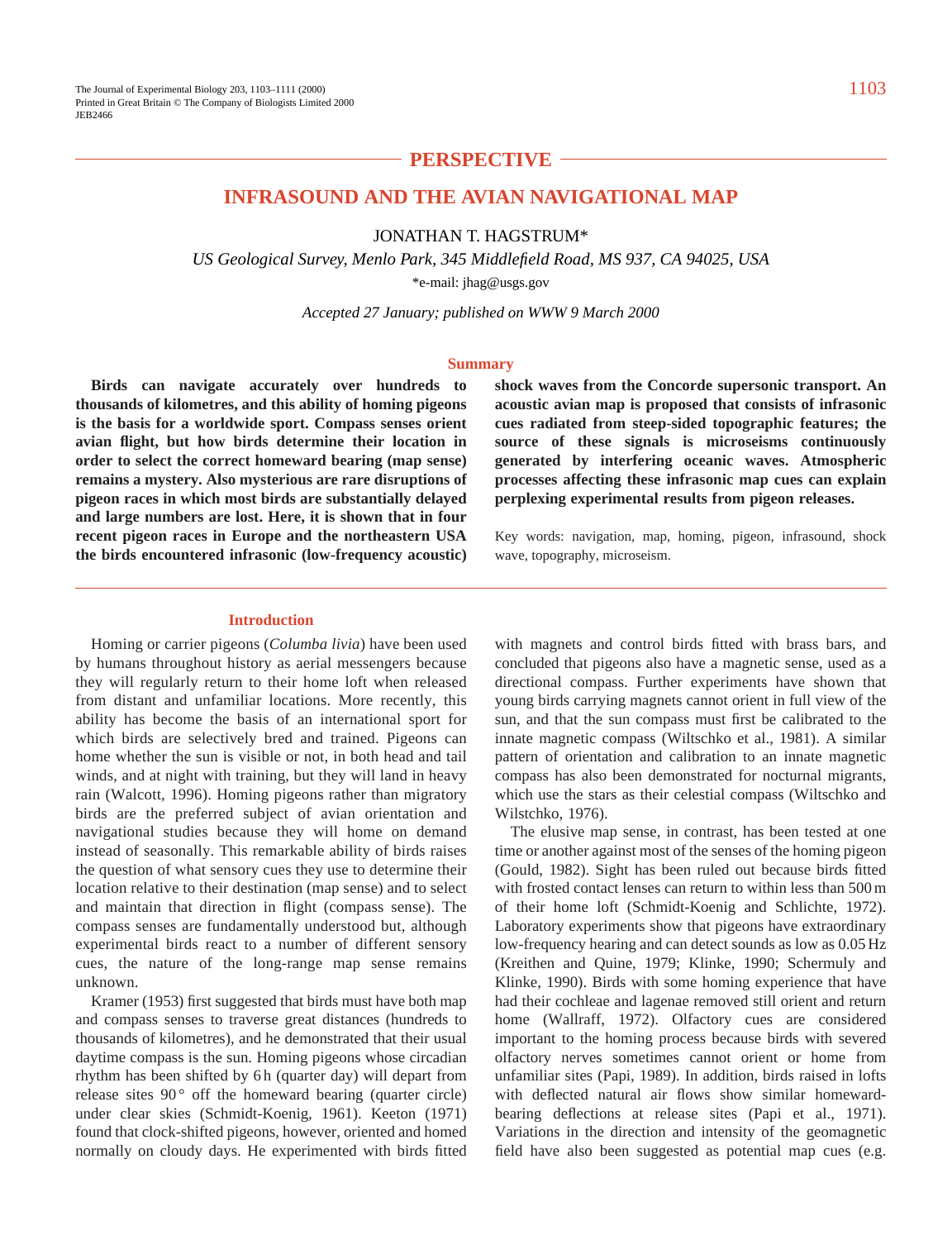# **PERSPECTIVE**

### **INFRASOUND AND THE AVIAN NAVIGATIONAL MAP**

JONATHAN T. HAGSTRUM\*

*US Geological Survey, Menlo Park, 345 Middlefield Road, MS 937, CA 94025, USA* \*e-mail: jhag@usgs.gov

*Accepted 27 January; published on WWW 9 March 2000*

#### **Summary**

**Birds can navigate accurately over hundreds to thousands of kilometres, and this ability of homing pigeons is the basis for a worldwide sport. Compass senses orient avian flight, but how birds determine their location in order to select the correct homeward bearing (map sense) remains a mystery. Also mysterious are rare disruptions of pigeon races in which most birds are substantially delayed and large numbers are lost. Here, it is shown that in four recent pigeon races in Europe and the northeastern USA the birds encountered infrasonic (low-frequency acoustic)** **shock waves from the Concorde supersonic transport. An acoustic avian map is proposed that consists of infrasonic cues radiated from steep-sided topographic features; the source of these signals is microseisms continuously generated by interfering oceanic waves. Atmospheric processes affecting these infrasonic map cues can explain perplexing experimental results from pigeon releases.**

Key words: navigation, map, homing, pigeon, infrasound, shock wave, topography, microseism.

#### **Introduction**

Homing or carrier pigeons (*Columba livia*) have been used by humans throughout history as aerial messengers because they will regularly return to their home loft when released from distant and unfamiliar locations. More recently, this ability has become the basis of an international sport for which birds are selectively bred and trained. Pigeons can home whether the sun is visible or not, in both head and tail winds, and at night with training, but they will land in heavy rain (Walcott, 1996). Homing pigeons rather than migratory birds are the preferred subject of avian orientation and navigational studies because they will home on demand instead of seasonally. This remarkable ability of birds raises the question of what sensory cues they use to determine their location relative to their destination (map sense) and to select and maintain that direction in flight (compass sense). The compass senses are fundamentally understood but, although experimental birds react to a number of different sensory cues, the nature of the long-range map sense remains unknown.

Kramer (1953) first suggested that birds must have both map and compass senses to traverse great distances (hundreds to thousands of kilometres), and he demonstrated that their usual daytime compass is the sun. Homing pigeons whose circadian rhythm has been shifted by 6 h (quarter day) will depart from release sites  $90^{\circ}$  off the homeward bearing (quarter circle) under clear skies (Schmidt-Koenig, 1961). Keeton (1971) found that clock-shifted pigeons, however, oriented and homed normally on cloudy days. He experimented with birds fitted

with magnets and control birds fitted with brass bars, and concluded that pigeons also have a magnetic sense, used as a directional compass. Further experiments have shown that young birds carrying magnets cannot orient in full view of the sun, and that the sun compass must first be calibrated to the innate magnetic compass (Wiltschko et al., 1981). A similar pattern of orientation and calibration to an innate magnetic compass has also been demonstrated for nocturnal migrants, which use the stars as their celestial compass (Wiltschko and Wilstchko, 1976).

The elusive map sense, in contrast, has been tested at one time or another against most of the senses of the homing pigeon (Gould, 1982). Sight has been ruled out because birds fitted with frosted contact lenses can return to within less than 500 m of their home loft (Schmidt-Koenig and Schlichte, 1972). Laboratory experiments show that pigeons have extraordinary low-frequency hearing and can detect sounds as low as 0.05 Hz (Kreithen and Quine, 1979; Klinke, 1990; Schermuly and Klinke, 1990). Birds with some homing experience that have had their cochleae and lagenae removed still orient and return home (Wallraff, 1972). Olfactory cues are considered important to the homing process because birds with severed olfactory nerves sometimes cannot orient or home from unfamiliar sites (Papi, 1989). In addition, birds raised in lofts with deflected natural air flows show similar homewardbearing deflections at release sites (Papi et al., 1971). Variations in the direction and intensity of the geomagnetic field have also been suggested as potential map cues (e.g.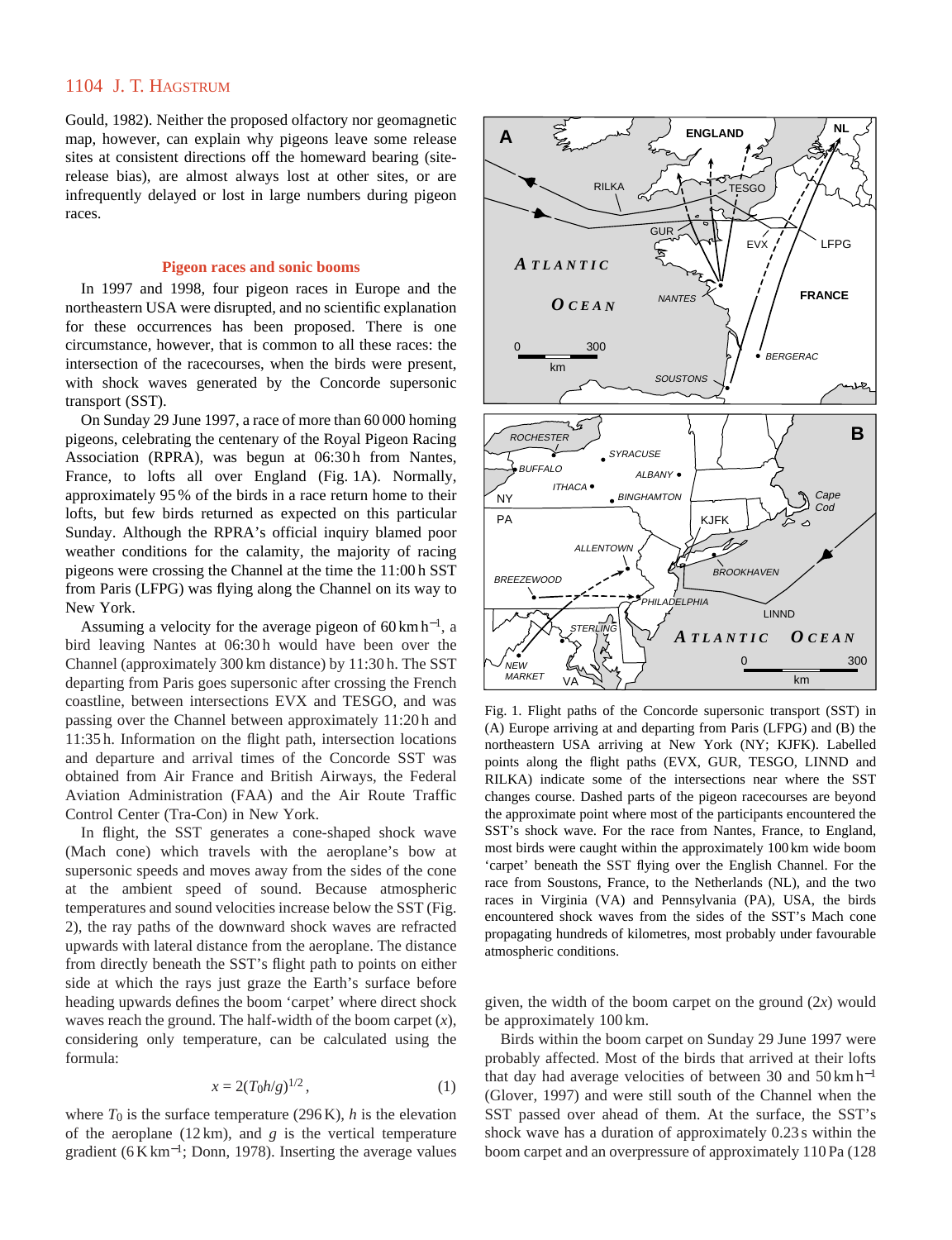Gould, 1982). Neither the proposed olfactory nor geomagnetic map, however, can explain why pigeons leave some release sites at consistent directions off the homeward bearing (siterelease bias), are almost always lost at other sites, or are infrequently delayed or lost in large numbers during pigeon races.

#### **Pigeon races and sonic booms**

In 1997 and 1998, four pigeon races in Europe and the northeastern USA were disrupted, and no scientific explanation for these occurrences has been proposed. There is one circumstance, however, that is common to all these races: the intersection of the racecourses, when the birds were present, with shock waves generated by the Concorde supersonic transport (SST).

On Sunday 29 June 1997, a race of more than 60 000 homing pigeons, celebrating the centenary of the Royal Pigeon Racing Association (RPRA), was begun at 06:30 h from Nantes, France, to lofts all over England (Fig. 1A). Normally, approximately 95 % of the birds in a race return home to their lofts, but few birds returned as expected on this particular Sunday. Although the RPRA's official inquiry blamed poor weather conditions for the calamity, the majority of racing pigeons were crossing the Channel at the time the 11:00 h SST from Paris (LFPG) was flying along the Channel on its way to New York.

Assuming a velocity for the average pigeon of 60 km h<sup>-1</sup>, a bird leaving Nantes at 06:30h would have been over the Channel (approximately 300 km distance) by 11:30 h. The SST departing from Paris goes supersonic after crossing the French coastline, between intersections EVX and TESGO, and was passing over the Channel between approximately 11:20 h and 11:35 h. Information on the flight path, intersection locations and departure and arrival times of the Concorde SST was obtained from Air France and British Airways, the Federal Aviation Administration (FAA) and the Air Route Traffic Control Center (Tra-Con) in New York.

In flight, the SST generates a cone-shaped shock wave (Mach cone) which travels with the aeroplane's bow at supersonic speeds and moves away from the sides of the cone at the ambient speed of sound. Because atmospheric temperatures and sound velocities increase below the SST (Fig. 2), the ray paths of the downward shock waves are refracted upwards with lateral distance from the aeroplane. The distance from directly beneath the SST's flight path to points on either side at which the rays just graze the Earth's surface before heading upwards defines the boom 'carpet' where direct shock waves reach the ground. The half-width of the boom carpet (*x*), considering only temperature, can be calculated using the formula:

$$
x = 2(T_0 h/g)^{1/2},\tag{1}
$$

where  $T_0$  is the surface temperature (296 K),  $h$  is the elevation of the aeroplane  $(12 \text{ km})$ , and *g* is the vertical temperature gradient (6 K km<sup>-1</sup>; Donn, 1978). Inserting the average values



Fig. 1. Flight paths of the Concorde supersonic transport (SST) in (A) Europe arriving at and departing from Paris (LFPG) and (B) the northeastern USA arriving at New York (NY; KJFK). Labelled points along the flight paths (EVX, GUR, TESGO, LINND and RILKA) indicate some of the intersections near where the SST changes course. Dashed parts of the pigeon racecourses are beyond the approximate point where most of the participants encountered the SST's shock wave. For the race from Nantes, France, to England, most birds were caught within the approximately 100 km wide boom 'carpet' beneath the SST flying over the English Channel. For the race from Soustons, France, to the Netherlands (NL), and the two races in Virginia (VA) and Pennsylvania (PA), USA, the birds encountered shock waves from the sides of the SST's Mach cone propagating hundreds of kilometres, most probably under favourable atmospheric conditions.

given, the width of the boom carpet on the ground (2*x*) would be approximately 100 km.

Birds within the boom carpet on Sunday 29 June 1997 were probably affected. Most of the birds that arrived at their lofts that day had average velocities of between 30 and 50 km h−<sup>1</sup> (Glover, 1997) and were still south of the Channel when the SST passed over ahead of them. At the surface, the SST's shock wave has a duration of approximately 0.23 s within the boom carpet and an overpressure of approximately 110 Pa (128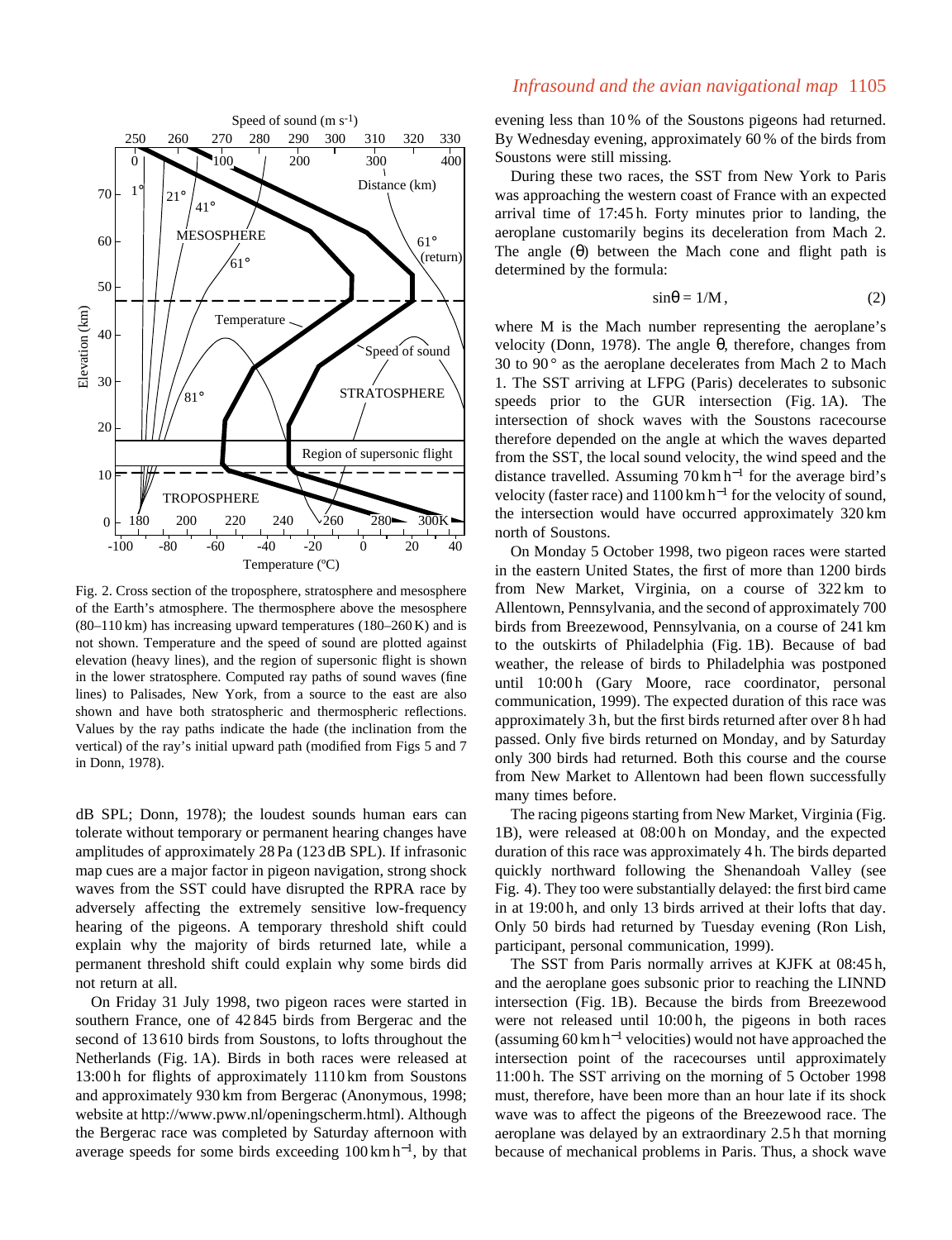

Fig. 2. Cross section of the troposphere, stratosphere and mesosphere of the Earth's atmosphere. The thermosphere above the mesosphere (80–110 km) has increasing upward temperatures (180–260 K) and is not shown. Temperature and the speed of sound are plotted against elevation (heavy lines), and the region of supersonic flight is shown in the lower stratosphere. Computed ray paths of sound waves (fine lines) to Palisades, New York, from a source to the east are also shown and have both stratospheric and thermospheric reflections. Values by the ray paths indicate the hade (the inclination from the vertical) of the ray's initial upward path (modified from Figs 5 and 7 in Donn, 1978).

dB SPL; Donn, 1978); the loudest sounds human ears can tolerate without temporary or permanent hearing changes have amplitudes of approximately 28 Pa (123 dB SPL). If infrasonic map cues are a major factor in pigeon navigation, strong shock waves from the SST could have disrupted the RPRA race by adversely affecting the extremely sensitive low-frequency hearing of the pigeons. A temporary threshold shift could explain why the majority of birds returned late, while a permanent threshold shift could explain why some birds did not return at all.

On Friday 31 July 1998, two pigeon races were started in southern France, one of 42 845 birds from Bergerac and the second of 13 610 birds from Soustons, to lofts throughout the Netherlands (Fig. 1A). Birds in both races were released at 13:00 h for flights of approximately 1110 km from Soustons and approximately 930 km from Bergerac (Anonymous, 1998; website at [http://www.pww.nl/openingscherm.html\).](http://www.pww.nl/openingscherm.html) Although the Bergerac race was completed by Saturday afternoon with average speeds for some birds exceeding  $100 \text{ km h}^{-1}$ , by that

# *Infrasound and the avian navigational map* 1105

evening less than 10 % of the Soustons pigeons had returned. By Wednesday evening, approximately 60 % of the birds from Soustons were still missing.

During these two races, the SST from New York to Paris was approaching the western coast of France with an expected arrival time of 17:45 h. Forty minutes prior to landing, the aeroplane customarily begins its deceleration from Mach 2. The angle  $(\theta)$  between the Mach cone and flight path is determined by the formula:

$$
\sin \theta = 1/M, \tag{2}
$$

where M is the Mach number representing the aeroplane's velocity (Donn, 1978). The angle θ, therefore, changes from 30 to 90 ° as the aeroplane decelerates from Mach 2 to Mach 1. The SST arriving at LFPG (Paris) decelerates to subsonic speeds prior to the GUR intersection (Fig. 1A). The intersection of shock waves with the Soustons racecourse therefore depended on the angle at which the waves departed from the SST, the local sound velocity, the wind speed and the distance travelled. Assuming 70 km h−<sup>1</sup> for the average bird's velocity (faster race) and  $1100 \text{ km h}^{-1}$  for the velocity of sound, the intersection would have occurred approximately 320 km north of Soustons.

On Monday 5 October 1998, two pigeon races were started in the eastern United States, the first of more than 1200 birds from New Market, Virginia, on a course of 322 km to Allentown, Pennsylvania, and the second of approximately 700 birds from Breezewood, Pennsylvania, on a course of 241 km to the outskirts of Philadelphia (Fig. 1B). Because of bad weather, the release of birds to Philadelphia was postponed until 10:00 h (Gary Moore, race coordinator, personal communication, 1999). The expected duration of this race was approximately 3 h, but the first birds returned after over 8 h had passed. Only five birds returned on Monday, and by Saturday only 300 birds had returned. Both this course and the course from New Market to Allentown had been flown successfully many times before.

The racing pigeons starting from New Market, Virginia (Fig. 1B), were released at 08:00 h on Monday, and the expected duration of this race was approximately 4 h. The birds departed quickly northward following the Shenandoah Valley (see Fig. 4). They too were substantially delayed: the first bird came in at 19:00 h, and only 13 birds arrived at their lofts that day. Only 50 birds had returned by Tuesday evening (Ron Lish, participant, personal communication, 1999).

The SST from Paris normally arrives at KJFK at 08:45 h, and the aeroplane goes subsonic prior to reaching the LINND intersection (Fig. 1B). Because the birds from Breezewood were not released until 10:00h, the pigeons in both races (assuming 60 km h−<sup>1</sup> velocities) would not have approached the intersection point of the racecourses until approximately 11:00 h. The SST arriving on the morning of 5 October 1998 must, therefore, have been more than an hour late if its shock wave was to affect the pigeons of the Breezewood race. The aeroplane was delayed by an extraordinary 2.5 h that morning because of mechanical problems in Paris. Thus, a shock wave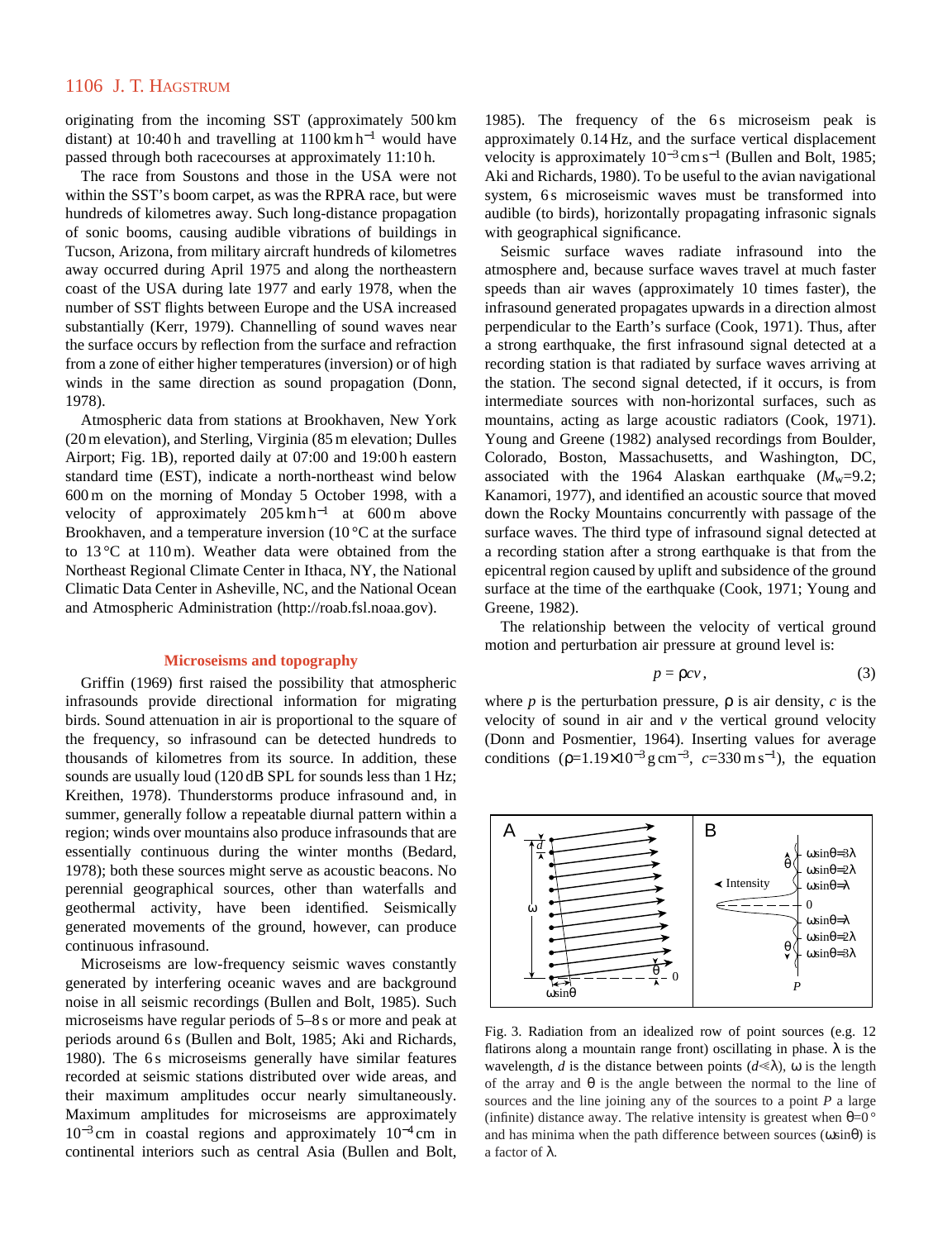originating from the incoming SST (approximately 500 km distant) at 10:40 h and travelling at 1100 km h−<sup>1</sup> would have passed through both racecourses at approximately 11:10 h.

The race from Soustons and those in the USA were not within the SST's boom carpet, as was the RPRA race, but were hundreds of kilometres away. Such long-distance propagation of sonic booms, causing audible vibrations of buildings in Tucson, Arizona, from military aircraft hundreds of kilometres away occurred during April 1975 and along the northeastern coast of the USA during late 1977 and early 1978, when the number of SST flights between Europe and the USA increased substantially (Kerr, 1979). Channelling of sound waves near the surface occurs by reflection from the surface and refraction from a zone of either higher temperatures (inversion) or of high winds in the same direction as sound propagation (Donn, 1978).

Atmospheric data from stations at Brookhaven, New York (20 m elevation), and Sterling, Virginia (85 m elevation; Dulles Airport; Fig. 1B), reported daily at 07:00 and 19:00 h eastern standard time (EST), indicate a north-northeast wind below 600 m on the morning of Monday 5 October 1998, with a velocity of approximately 205 km h−<sup>1</sup> at 600 m above Brookhaven, and a temperature inversion  $(10^{\circ}$ C at the surface to  $13^{\circ}$ C at  $110$  m). Weather data were obtained from the Northeast Regional Climate Center in Ithaca, NY, the National Climatic Data Center in Asheville, NC, and the National Ocean and Atmospheric Administration [\(http://roab.fsl.noaa.gov\).](http://roab.fsl.noaa.gov)

#### **Microseisms and topography**

Griffin (1969) first raised the possibility that atmospheric infrasounds provide directional information for migrating birds. Sound attenuation in air is proportional to the square of the frequency, so infrasound can be detected hundreds to thousands of kilometres from its source. In addition, these sounds are usually loud (120 dB SPL for sounds less than 1 Hz; Kreithen, 1978). Thunderstorms produce infrasound and, in summer, generally follow a repeatable diurnal pattern within a region; winds over mountains also produce infrasounds that are essentially continuous during the winter months (Bedard, 1978); both these sources might serve as acoustic beacons. No perennial geographical sources, other than waterfalls and geothermal activity, have been identified. Seismically generated movements of the ground, however, can produce continuous infrasound.

Microseisms are low-frequency seismic waves constantly generated by interfering oceanic waves and are background noise in all seismic recordings (Bullen and Bolt, 1985). Such microseisms have regular periods of 5–8 s or more and peak at periods around 6 s (Bullen and Bolt, 1985; Aki and Richards, 1980). The 6s microseisms generally have similar features recorded at seismic stations distributed over wide areas, and their maximum amplitudes occur nearly simultaneously. Maximum amplitudes for microseisms are approximately  $10^{-3}$  cm in coastal regions and approximately  $10^{-4}$  cm in continental interiors such as central Asia (Bullen and Bolt,

1985). The frequency of the 6s microseism peak is approximately 0.14 Hz, and the surface vertical displacement velocity is approximately  $10^{-3}$  cm s<sup>-1</sup> (Bullen and Bolt, 1985; Aki and Richards, 1980). To be useful to the avian navigational system, 6s microseismic waves must be transformed into audible (to birds), horizontally propagating infrasonic signals with geographical significance.

Seismic surface waves radiate infrasound into the atmosphere and, because surface waves travel at much faster speeds than air waves (approximately 10 times faster), the infrasound generated propagates upwards in a direction almost perpendicular to the Earth's surface (Cook, 1971). Thus, after a strong earthquake, the first infrasound signal detected at a recording station is that radiated by surface waves arriving at the station. The second signal detected, if it occurs, is from intermediate sources with non-horizontal surfaces, such as mountains, acting as large acoustic radiators (Cook, 1971). Young and Greene (1982) analysed recordings from Boulder, Colorado, Boston, Massachusetts, and Washington, DC, associated with the 1964 Alaskan earthquake  $(M_w=9.2)$ ; Kanamori, 1977), and identified an acoustic source that moved down the Rocky Mountains concurrently with passage of the surface waves. The third type of infrasound signal detected at a recording station after a strong earthquake is that from the epicentral region caused by uplift and subsidence of the ground surface at the time of the earthquake (Cook, 1971; Young and Greene, 1982).

The relationship between the velocity of vertical ground motion and perturbation air pressure at ground level is:

$$
p = \rho c v, \tag{3}
$$

where *p* is the perturbation pressure,  $\rho$  is air density, *c* is the velocity of sound in air and *v* the vertical ground velocity (Donn and Posmentier, 1964). Inserting values for average conditions  $(\rho=1.19\times10^{-3} \text{ g cm}^{-3}, c=330 \text{ m s}^{-1})$ , the equation



Fig. 3. Radiation from an idealized row of point sources (e.g. 12 flatirons along a mountain range front) oscillating in phase.  $\lambda$  is the wavelength, *d* is the distance between points  $(d \le \lambda)$ ,  $\omega$  is the length of the array and  $\theta$  is the angle between the normal to the line of sources and the line joining any of the sources to a point *P* a large (infinite) distance away. The relative intensity is greatest when  $\theta=0$ <sup>o</sup> and has minima when the path difference between sources  $(\omega \sin \theta)$  is a factor of λ.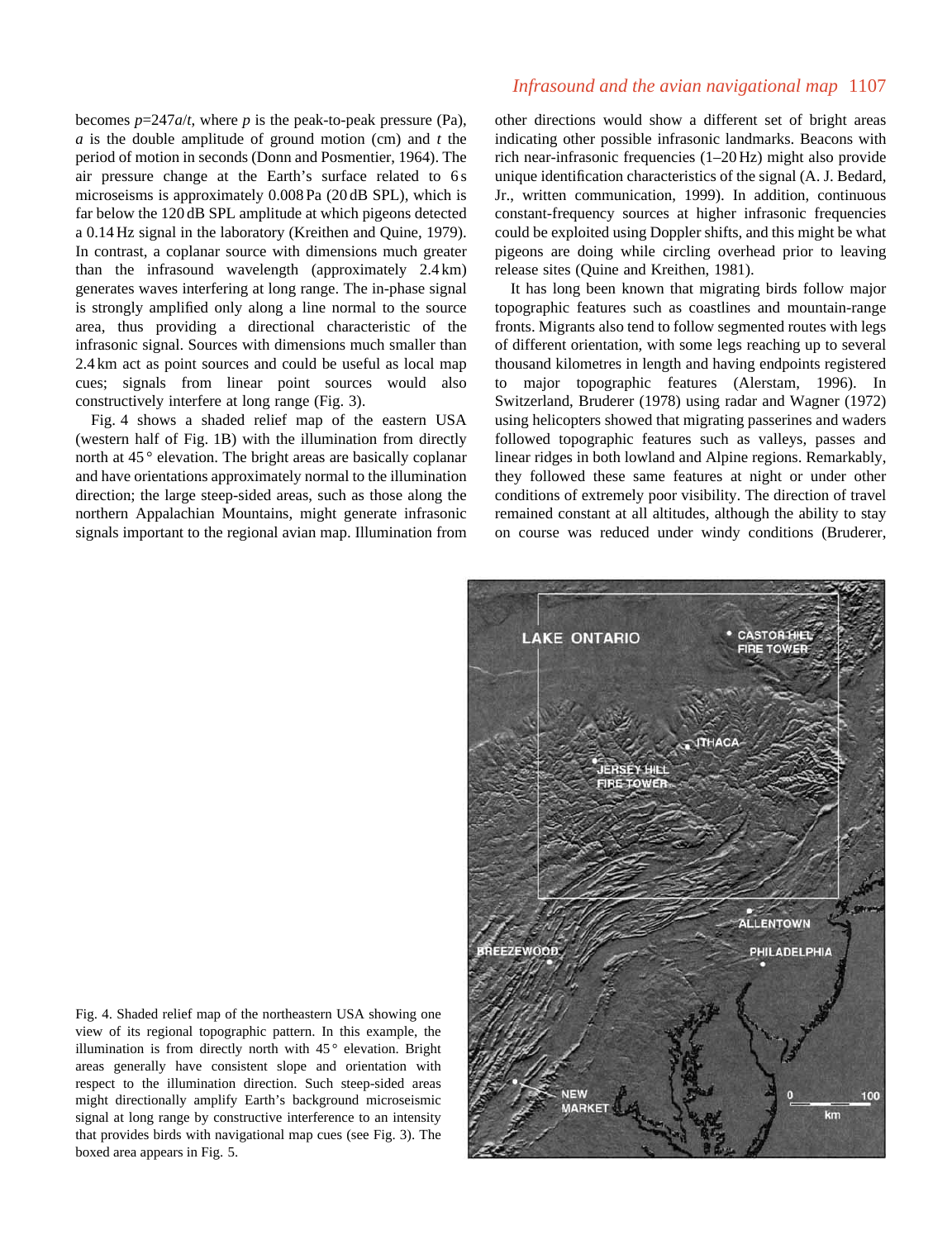becomes  $p=247a/t$ , where p is the peak-to-peak pressure (Pa), *a* is the double amplitude of ground motion (cm) and *t* the period of motion in seconds (Donn and Posmentier, 1964). The air pressure change at the Earth's surface related to 6 s microseisms is approximately 0.008 Pa (20 dB SPL), which is far below the 120 dB SPL amplitude at which pigeons detected a 0.14 Hz signal in the laboratory (Kreithen and Quine, 1979). In contrast, a coplanar source with dimensions much greater than the infrasound wavelength (approximately 2.4 km) generates waves interfering at long range. The in-phase signal is strongly amplified only along a line normal to the source area, thus providing a directional characteristic of the infrasonic signal. Sources with dimensions much smaller than 2.4 km act as point sources and could be useful as local map cues; signals from linear point sources would also constructively interfere at long range (Fig. 3).

Fig. 4 shows a shaded relief map of the eastern USA (western half of Fig. 1B) with the illumination from directly north at 45 ° elevation. The bright areas are basically coplanar and have orientations approximately normal to the illumination direction; the large steep-sided areas, such as those along the northern Appalachian Mountains, might generate infrasonic signals important to the regional avian map. Illumination from

# *Infrasound and the avian navigational map* 1107

other directions would show a different set of bright areas indicating other possible infrasonic landmarks. Beacons with rich near-infrasonic frequencies (1–20 Hz) might also provide unique identification characteristics of the signal (A. J. Bedard, Jr., written communication, 1999). In addition, continuous constant-frequency sources at higher infrasonic frequencies could be exploited using Doppler shifts, and this might be what pigeons are doing while circling overhead prior to leaving release sites (Quine and Kreithen, 1981).

It has long been known that migrating birds follow major topographic features such as coastlines and mountain-range fronts. Migrants also tend to follow segmented routes with legs of different orientation, with some legs reaching up to several thousand kilometres in length and having endpoints registered to major topographic features (Alerstam, 1996). In Switzerland, Bruderer (1978) using radar and Wagner (1972) using helicopters showed that migrating passerines and waders followed topographic features such as valleys, passes and linear ridges in both lowland and Alpine regions. Remarkably, they followed these same features at night or under other conditions of extremely poor visibility. The direction of travel remained constant at all altitudes, although the ability to stay on course was reduced under windy conditions (Bruderer,



Fig. 4. Shaded relief map of the northeastern USA showing one view of its regional topographic pattern. In this example, the illumination is from directly north with  $45^{\circ}$  elevation. Bright areas generally have consistent slope and orientation with respect to the illumination direction. Such steep-sided areas might directionally amplify Earth's background microseismic signal at long range by constructive interference to an intensity that provides birds with navigational map cues (see Fig. 3). The boxed area appears in Fig. 5.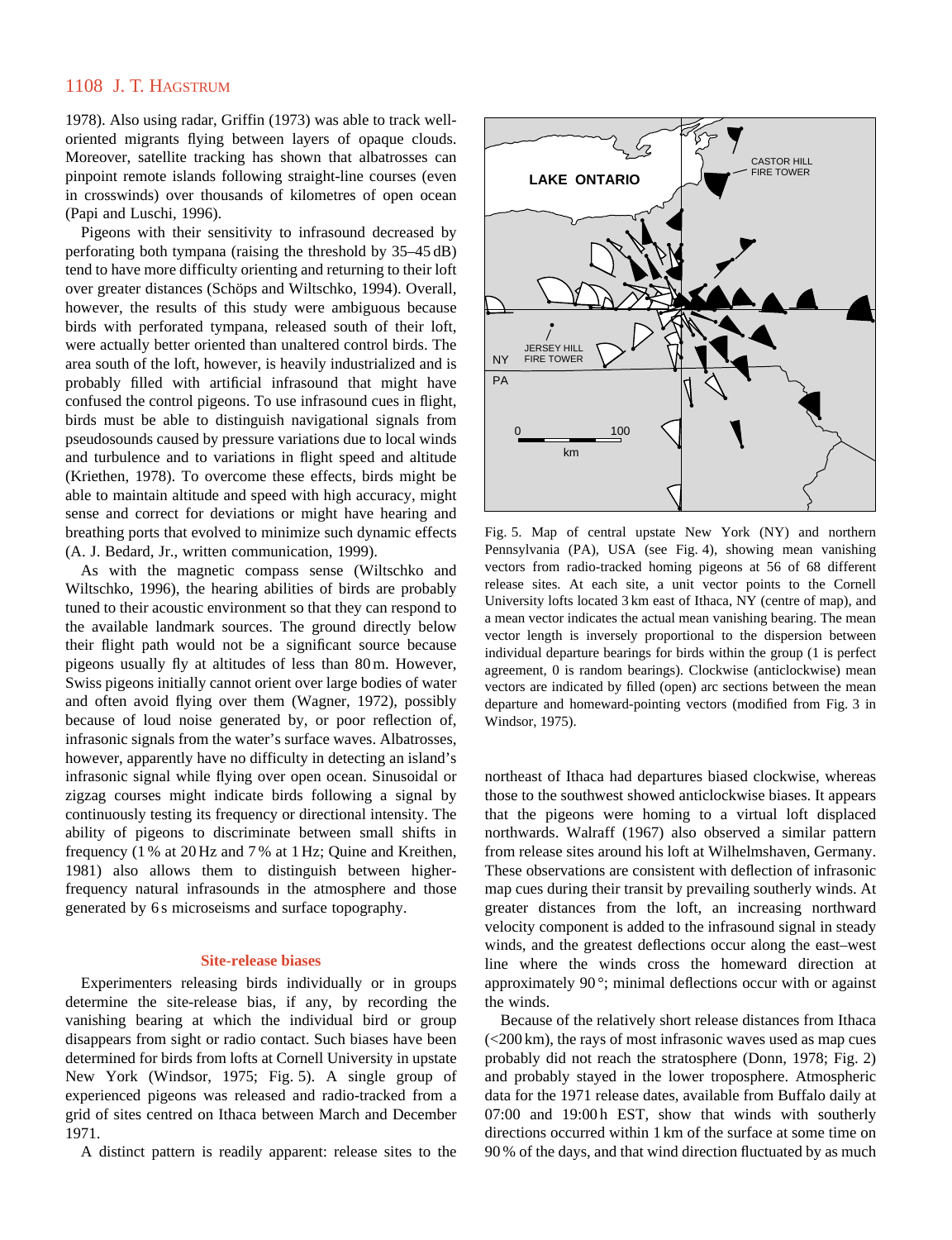1978). Also using radar, Griffin (1973) was able to track welloriented migrants flying between layers of opaque clouds. Moreover, satellite tracking has shown that albatrosses can pinpoint remote islands following straight-line courses (even in crosswinds) over thousands of kilometres of open ocean (Papi and Luschi, 1996).

Pigeons with their sensitivity to infrasound decreased by perforating both tympana (raising the threshold by 35–45 dB) tend to have more difficulty orienting and returning to their loft over greater distances (Schöps and Wiltschko, 1994). Overall, however, the results of this study were ambiguous because birds with perforated tympana, released south of their loft, were actually better oriented than unaltered control birds. The area south of the loft, however, is heavily industrialized and is probably filled with artificial infrasound that might have confused the control pigeons. To use infrasound cues in flight, birds must be able to distinguish navigational signals from pseudosounds caused by pressure variations due to local winds and turbulence and to variations in flight speed and altitude (Kriethen, 1978). To overcome these effects, birds might be able to maintain altitude and speed with high accuracy, might sense and correct for deviations or might have hearing and breathing ports that evolved to minimize such dynamic effects (A. J. Bedard, Jr., written communication, 1999).

As with the magnetic compass sense (Wiltschko and Wiltschko, 1996), the hearing abilities of birds are probably tuned to their acoustic environment so that they can respond to the available landmark sources. The ground directly below their flight path would not be a significant source because pigeons usually fly at altitudes of less than 80 m. However, Swiss pigeons initially cannot orient over large bodies of water and often avoid flying over them (Wagner, 1972), possibly because of loud noise generated by, or poor reflection of, infrasonic signals from the water's surface waves. Albatrosses, however, apparently have no difficulty in detecting an island's infrasonic signal while flying over open ocean. Sinusoidal or zigzag courses might indicate birds following a signal by continuously testing its frequency or directional intensity. The ability of pigeons to discriminate between small shifts in frequency (1 % at 20 Hz and 7 % at 1 Hz; Quine and Kreithen, 1981) also allows them to distinguish between higherfrequency natural infrasounds in the atmosphere and those generated by 6 s microseisms and surface topography.

#### **Site-release biases**

Experimenters releasing birds individually or in groups determine the site-release bias, if any, by recording the vanishing bearing at which the individual bird or group disappears from sight or radio contact. Such biases have been determined for birds from lofts at Cornell University in upstate New York (Windsor, 1975; Fig. 5). A single group of experienced pigeons was released and radio-tracked from a grid of sites centred on Ithaca between March and December 1971.

A distinct pattern is readily apparent: release sites to the



Fig. 5. Map of central upstate New York (NY) and northern Pennsylvania (PA), USA (see Fig. 4), showing mean vanishing vectors from radio-tracked homing pigeons at 56 of 68 different release sites. At each site, a unit vector points to the Cornell University lofts located 3 km east of Ithaca, NY (centre of map), and a mean vector indicates the actual mean vanishing bearing. The mean vector length is inversely proportional to the dispersion between individual departure bearings for birds within the group (1 is perfect agreement, 0 is random bearings). Clockwise (anticlockwise) mean vectors are indicated by filled (open) arc sections between the mean departure and homeward-pointing vectors (modified from Fig. 3 in Windsor, 1975).

northeast of Ithaca had departures biased clockwise, whereas those to the southwest showed anticlockwise biases. It appears that the pigeons were homing to a virtual loft displaced northwards. Walraff (1967) also observed a similar pattern from release sites around his loft at Wilhelmshaven, Germany. These observations are consistent with deflection of infrasonic map cues during their transit by prevailing southerly winds. At greater distances from the loft, an increasing northward velocity component is added to the infrasound signal in steady winds, and the greatest deflections occur along the east–west line where the winds cross the homeward direction at approximately 90 °; minimal deflections occur with or against the winds.

Because of the relatively short release distances from Ithaca (<200 km), the rays of most infrasonic waves used as map cues probably did not reach the stratosphere (Donn, 1978; Fig. 2) and probably stayed in the lower troposphere. Atmospheric data for the 1971 release dates, available from Buffalo daily at 07:00 and 19:00h EST, show that winds with southerly directions occurred within 1 km of the surface at some time on 90 % of the days, and that wind direction fluctuated by as much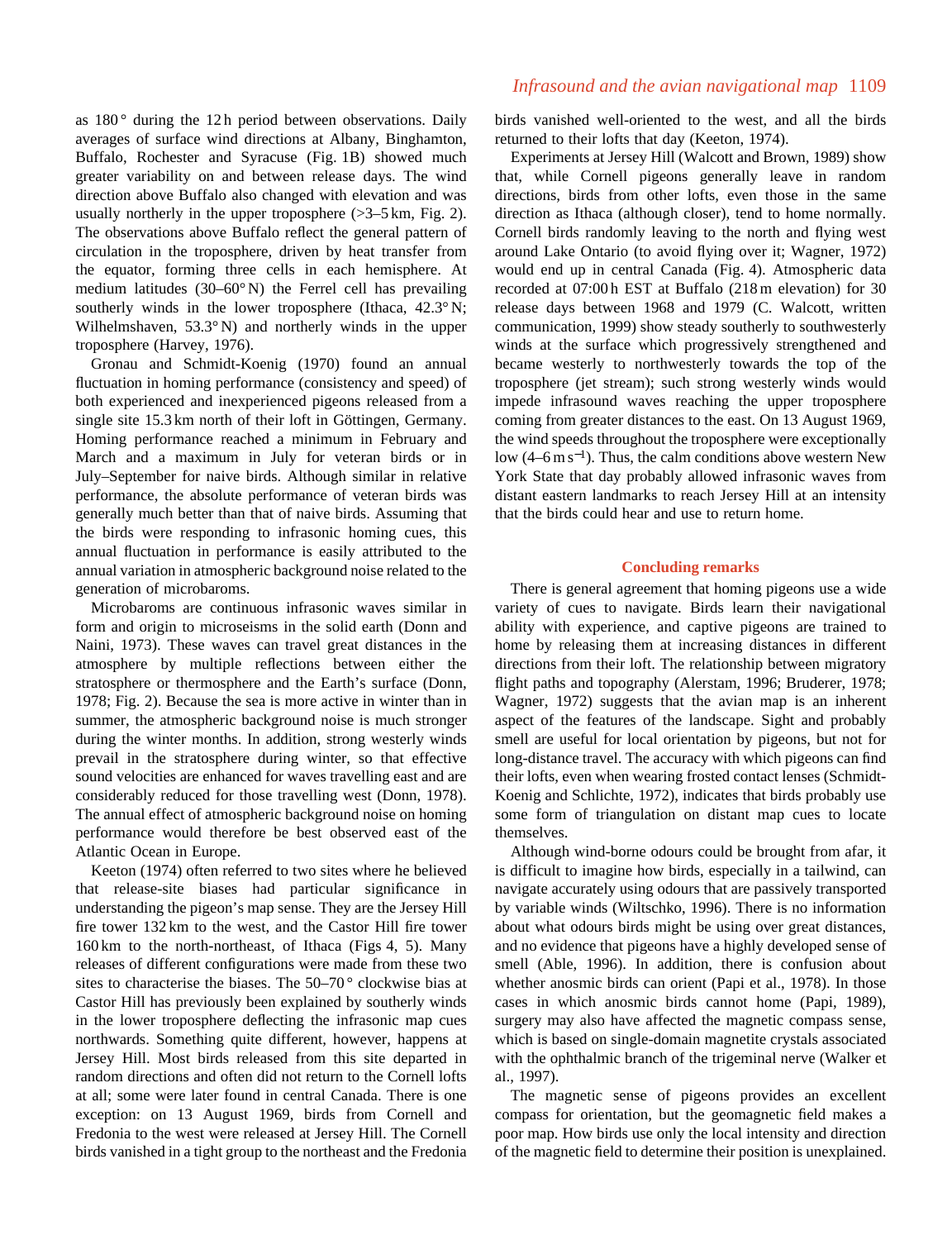as 180° during the 12h period between observations. Daily averages of surface wind directions at Albany, Binghamton, Buffalo, Rochester and Syracuse (Fig. 1B) showed much greater variability on and between release days. The wind direction above Buffalo also changed with elevation and was usually northerly in the upper troposphere  $(>=3-5 \text{ km}, \text{ Fig. 2}).$ The observations above Buffalo reflect the general pattern of circulation in the troposphere, driven by heat transfer from the equator, forming three cells in each hemisphere. At medium latitudes (30–60° N) the Ferrel cell has prevailing southerly winds in the lower troposphere (Ithaca, 42.3°N; Wilhelmshaven, 53.3° N) and northerly winds in the upper troposphere (Harvey, 1976).

Gronau and Schmidt-Koenig (1970) found an annual fluctuation in homing performance (consistency and speed) of both experienced and inexperienced pigeons released from a single site 15.3 km north of their loft in Göttingen, Germany. Homing performance reached a minimum in February and March and a maximum in July for veteran birds or in July–September for naive birds. Although similar in relative performance, the absolute performance of veteran birds was generally much better than that of naive birds. Assuming that the birds were responding to infrasonic homing cues, this annual fluctuation in performance is easily attributed to the annual variation in atmospheric background noise related to the generation of microbaroms.

Microbaroms are continuous infrasonic waves similar in form and origin to microseisms in the solid earth (Donn and Naini, 1973). These waves can travel great distances in the atmosphere by multiple reflections between either the stratosphere or thermosphere and the Earth's surface (Donn, 1978; Fig. 2). Because the sea is more active in winter than in summer, the atmospheric background noise is much stronger during the winter months. In addition, strong westerly winds prevail in the stratosphere during winter, so that effective sound velocities are enhanced for waves travelling east and are considerably reduced for those travelling west (Donn, 1978). The annual effect of atmospheric background noise on homing performance would therefore be best observed east of the Atlantic Ocean in Europe.

Keeton (1974) often referred to two sites where he believed that release-site biases had particular significance in understanding the pigeon's map sense. They are the Jersey Hill fire tower 132 km to the west, and the Castor Hill fire tower 160 km to the north-northeast, of Ithaca (Figs 4, 5). Many releases of different configurations were made from these two sites to characterise the biases. The 50–70 ° clockwise bias at Castor Hill has previously been explained by southerly winds in the lower troposphere deflecting the infrasonic map cues northwards. Something quite different, however, happens at Jersey Hill. Most birds released from this site departed in random directions and often did not return to the Cornell lofts at all; some were later found in central Canada. There is one exception: on 13 August 1969, birds from Cornell and Fredonia to the west were released at Jersey Hill. The Cornell birds vanished in a tight group to the northeast and the Fredonia

### *Infrasound and the avian navigational map* 1109

birds vanished well-oriented to the west, and all the birds returned to their lofts that day (Keeton, 1974).

Experiments at Jersey Hill (Walcott and Brown, 1989) show that, while Cornell pigeons generally leave in random directions, birds from other lofts, even those in the same direction as Ithaca (although closer), tend to home normally. Cornell birds randomly leaving to the north and flying west around Lake Ontario (to avoid flying over it; Wagner, 1972) would end up in central Canada (Fig. 4). Atmospheric data recorded at 07:00 h EST at Buffalo (218 m elevation) for 30 release days between 1968 and 1979 (C. Walcott, written communication, 1999) show steady southerly to southwesterly winds at the surface which progressively strengthened and became westerly to northwesterly towards the top of the troposphere (jet stream); such strong westerly winds would impede infrasound waves reaching the upper troposphere coming from greater distances to the east. On 13 August 1969, the wind speeds throughout the troposphere were exceptionally low  $(4-6 \text{ m s}^{-1})$ . Thus, the calm conditions above western New York State that day probably allowed infrasonic waves from distant eastern landmarks to reach Jersey Hill at an intensity that the birds could hear and use to return home.

#### **Concluding remarks**

There is general agreement that homing pigeons use a wide variety of cues to navigate. Birds learn their navigational ability with experience, and captive pigeons are trained to home by releasing them at increasing distances in different directions from their loft. The relationship between migratory flight paths and topography (Alerstam, 1996; Bruderer, 1978; Wagner, 1972) suggests that the avian map is an inherent aspect of the features of the landscape. Sight and probably smell are useful for local orientation by pigeons, but not for long-distance travel. The accuracy with which pigeons can find their lofts, even when wearing frosted contact lenses (Schmidt-Koenig and Schlichte, 1972), indicates that birds probably use some form of triangulation on distant map cues to locate themselves.

Although wind-borne odours could be brought from afar, it is difficult to imagine how birds, especially in a tailwind, can navigate accurately using odours that are passively transported by variable winds (Wiltschko, 1996). There is no information about what odours birds might be using over great distances, and no evidence that pigeons have a highly developed sense of smell (Able, 1996). In addition, there is confusion about whether anosmic birds can orient (Papi et al., 1978). In those cases in which anosmic birds cannot home (Papi, 1989), surgery may also have affected the magnetic compass sense, which is based on single-domain magnetite crystals associated with the ophthalmic branch of the trigeminal nerve (Walker et al., 1997).

The magnetic sense of pigeons provides an excellent compass for orientation, but the geomagnetic field makes a poor map. How birds use only the local intensity and direction of the magnetic field to determine their position is unexplained.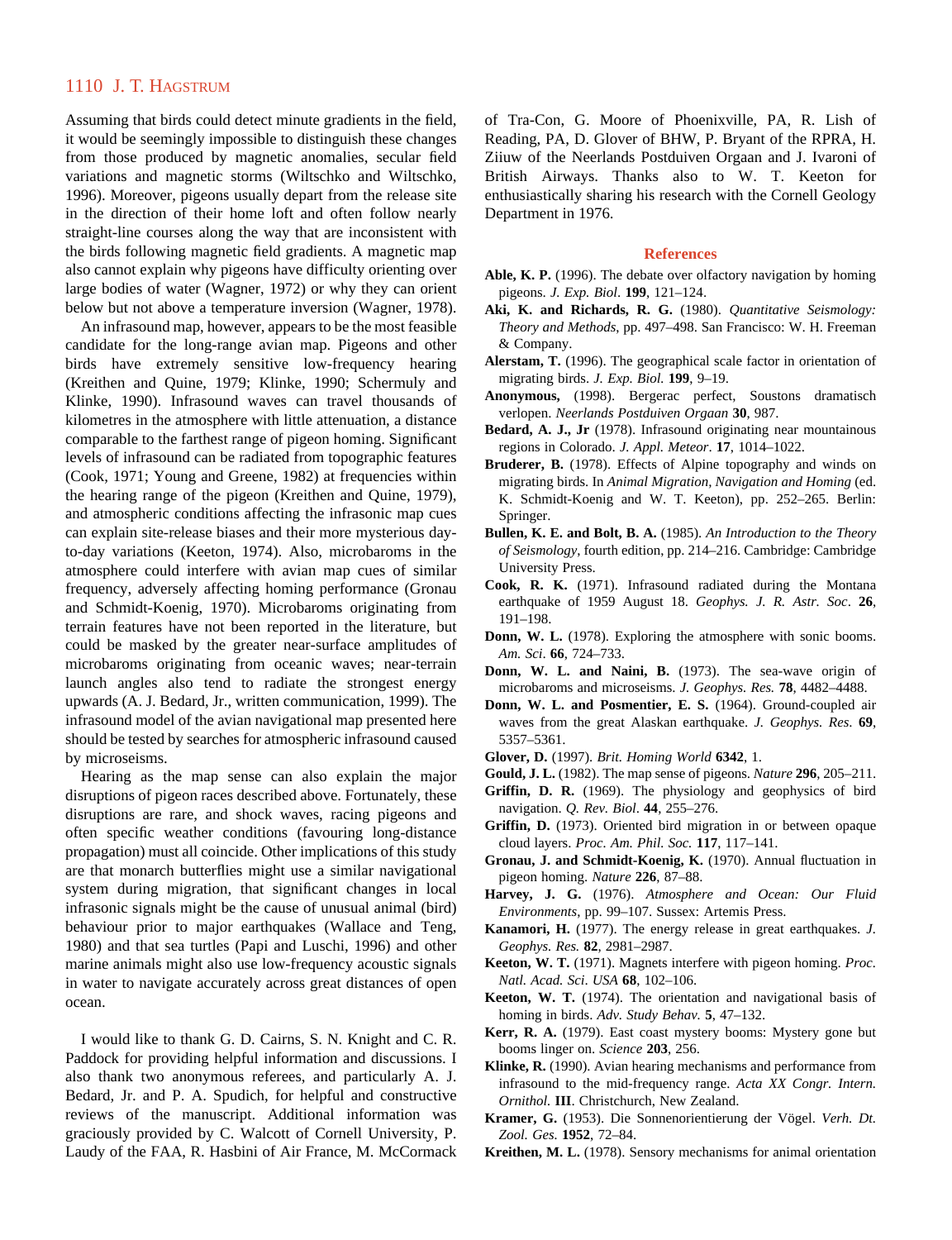Assuming that birds could detect minute gradients in the field, it would be seemingly impossible to distinguish these changes from those produced by magnetic anomalies, secular field variations and magnetic storms (Wiltschko and Wiltschko, 1996). Moreover, pigeons usually depart from the release site in the direction of their home loft and often follow nearly straight-line courses along the way that are inconsistent with the birds following magnetic field gradients. A magnetic map also cannot explain why pigeons have difficulty orienting over large bodies of water (Wagner, 1972) or why they can orient below but not above a temperature inversion (Wagner, 1978).

An infrasound map, however, appears to be the most feasible candidate for the long-range avian map. Pigeons and other birds have extremely sensitive low-frequency hearing (Kreithen and Quine, 1979; Klinke, 1990; Schermuly and Klinke, 1990). Infrasound waves can travel thousands of kilometres in the atmosphere with little attenuation, a distance comparable to the farthest range of pigeon homing. Significant levels of infrasound can be radiated from topographic features (Cook, 1971; Young and Greene, 1982) at frequencies within the hearing range of the pigeon (Kreithen and Quine, 1979), and atmospheric conditions affecting the infrasonic map cues can explain site-release biases and their more mysterious dayto-day variations (Keeton, 1974). Also, microbaroms in the atmosphere could interfere with avian map cues of similar frequency, adversely affecting homing performance (Gronau and Schmidt-Koenig, 1970). Microbaroms originating from terrain features have not been reported in the literature, but could be masked by the greater near-surface amplitudes of microbaroms originating from oceanic waves; near-terrain launch angles also tend to radiate the strongest energy upwards (A. J. Bedard, Jr., written communication, 1999). The infrasound model of the avian navigational map presented here should be tested by searches for atmospheric infrasound caused by microseisms.

Hearing as the map sense can also explain the major disruptions of pigeon races described above. Fortunately, these disruptions are rare, and shock waves, racing pigeons and often specific weather conditions (favouring long-distance propagation) must all coincide. Other implications of this study are that monarch butterflies might use a similar navigational system during migration, that significant changes in local infrasonic signals might be the cause of unusual animal (bird) behaviour prior to major earthquakes (Wallace and Teng, 1980) and that sea turtles (Papi and Luschi, 1996) and other marine animals might also use low-frequency acoustic signals in water to navigate accurately across great distances of open ocean.

I would like to thank G. D. Cairns, S. N. Knight and C. R. Paddock for providing helpful information and discussions. I also thank two anonymous referees, and particularly A. J. Bedard, Jr. and P. A. Spudich, for helpful and constructive reviews of the manuscript. Additional information was graciously provided by C. Walcott of Cornell University, P. Laudy of the FAA, R. Hasbini of Air France, M. McCormack

of Tra-Con, G. Moore of Phoenixville, PA, R. Lish of Reading, PA, D. Glover of BHW, P. Bryant of the RPRA, H. Ziiuw of the Neerlands Postduiven Orgaan and J. Ivaroni of British Airways. Thanks also to W. T. Keeton for enthusiastically sharing his research with the Cornell Geology Department in 1976.

#### **References**

- **Able, K. P.** (1996). The debate over olfactory navigation by homing pigeons. *J. Exp. Biol*. **199**, 121–124.
- **Aki, K. and Richards, R. G.** (1980). *Quantitative Seismology: Theory and Methods*, pp. 497–498. San Francisco: W. H. Freeman & Company.
- **Alerstam, T.** (1996). The geographical scale factor in orientation of migrating birds. *J. Exp. Biol.* **199**, 9–19.
- **Anonymous,** (1998). Bergerac perfect, Soustons dramatisch verlopen. *Neerlands Postduiven Orgaan* **30**, 987.
- **Bedard, A. J., Jr** (1978). Infrasound originating near mountainous regions in Colorado. *J. Appl. Meteor*. **17**, 1014–1022.
- **Bruderer, B.** (1978). Effects of Alpine topography and winds on migrating birds. In *Animal Migration, Navigation and Homing* (ed. K. Schmidt-Koenig and W. T. Keeton), pp. 252–265. Berlin: Springer.
- **Bullen, K. E. and Bolt, B. A.** (1985). *An Introduction to the Theory of Seismology*, fourth edition, pp. 214–216. Cambridge: Cambridge University Press.
- **Cook, R. K.** (1971). Infrasound radiated during the Montana earthquake of 1959 August 18. *Geophys. J. R. Astr. Soc*. **26**, 191–198.
- **Donn, W. L.** (1978). Exploring the atmosphere with sonic booms. *Am. Sci*. **66**, 724–733.
- **Donn, W. L. and Naini, B.** (1973). The sea-wave origin of microbaroms and microseisms. *J. Geophys. Res.* **78**, 4482–4488.
- **Donn, W. L. and Posmentier, E. S.** (1964). Ground-coupled air waves from the great Alaskan earthquake. *J. Geophys. Res*. **69**, 5357–5361.
- **Glover, D.** (1997). *Brit. Homing World* **6342**, 1.
- **Gould, J. L.** (1982). The map sense of pigeons. *Nature* **296**, 205–211.
- **Griffin, D. R.** (1969). The physiology and geophysics of bird navigation. *Q. Rev. Biol*. **44**, 255–276.
- **Griffin, D.** (1973). Oriented bird migration in or between opaque cloud layers. *Proc. Am. Phil. Soc.* **117**, 117–141.
- **Gronau, J. and Schmidt-Koenig, K.** (1970). Annual fluctuation in pigeon homing. *Nature* **226**, 87–88.
- **Harvey, J. G.** (1976). *Atmosphere and Ocean: Our Fluid Environments*, pp. 99–107. Sussex: Artemis Press.
- **Kanamori, H.** (1977). The energy release in great earthquakes. *J. Geophys. Res.* **82**, 2981–2987.
- **Keeton, W. T.** (1971). Magnets interfere with pigeon homing. *Proc. Natl. Acad. Sci*. *USA* **68**, 102–106.
- **Keeton, W. T.** (1974). The orientation and navigational basis of homing in birds. *Adv. Study Behav.* **5**, 47–132.
- **Kerr, R. A.** (1979). East coast mystery booms: Mystery gone but booms linger on. *Science* **203**, 256.
- **Klinke, R.** (1990). Avian hearing mechanisms and performance from infrasound to the mid-frequency range. *Acta XX Congr. Intern. Ornithol.* **III**. Christchurch, New Zealand.
- **Kramer, G.** (1953). Die Sonnenorientierung der Vögel. *Verh. Dt. Zool. Ges.* **1952**, 72–84.
- **Kreithen, M. L.** (1978). Sensory mechanisms for animal orientation